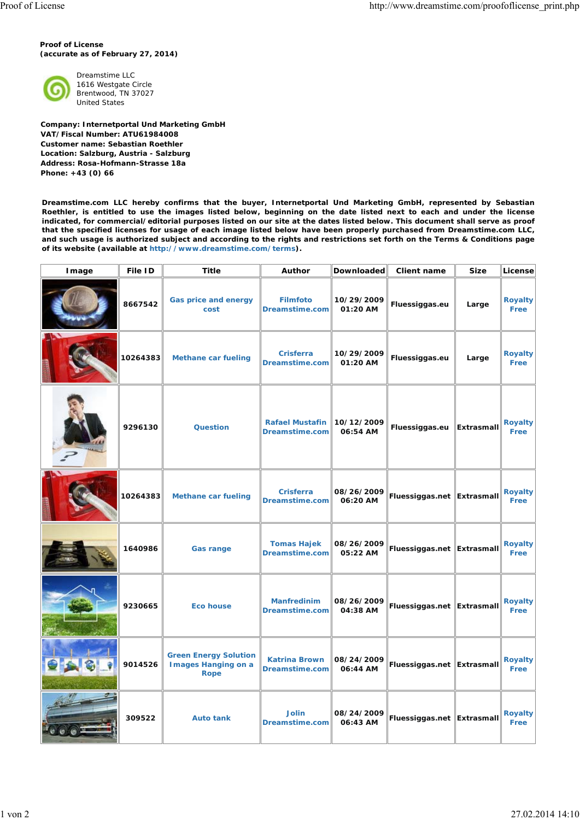**Proof of License (accurate as of February 27, 2014)**



Dreamstime LLC 1616 Westgate Circle Brentwood, TN 37027 United States

**Company: Internetportal Und Marketing GmbH VAT/Fiscal Number: ATU61984008 Customer name: Sebastian Roethler Location: Salzburg, Austria - Salzburg Address: Rosa-Hofmann-Strasse 18a Phone: +43 (0) 66**

**Dreamstime.com LLC hereby confirms that the buyer, Internetportal Und Marketing GmbH, represented by Sebastian Roethler, is entitled to use the images listed below, beginning on the date listed next to each and under the license indicated, for commercial/editorial purposes listed on our site at the dates listed below. This document shall serve as proof that the specified licenses for usage of each image listed below have been properly purchased from Dreamstime.com LLC, and such usage is authorized subject and according to the rights and restrictions set forth on the Terms & Conditions page of its website (available at http://www.dreamstime.com/terms).**

| Image | File ID  | Title                                                        | Author                                   | Downloaded             | Client name                  | <b>Size</b> | License                |
|-------|----------|--------------------------------------------------------------|------------------------------------------|------------------------|------------------------------|-------------|------------------------|
|       | 8667542  | Gas price and energy<br>cost                                 | <b>Filmfoto</b><br>Dreamstime.com        | 10/29/2009<br>01:20 AM | Fluessiggas.eu               | Large       | Royalty<br>Free        |
|       | 10264383 | <b>Methane car fueling</b>                                   | <b>Crisferra</b><br>Dreamstime.com       | 10/29/2009<br>01:20 AM | Fluessiggas.eu               | Large       | <b>Royalty</b><br>Free |
|       | 9296130  | Question                                                     | <b>Rafael Mustafin</b><br>Dreamstime.com | 10/12/2009<br>06:54 AM | Fluessiggas.eu               | Extrasmall  | <b>Royalty</b><br>Free |
|       | 10264383 | <b>Methane car fueling</b>                                   | <b>Crisferra</b><br>Dreamstime.com       | 08/26/2009<br>06:20 AM | Fluessiggas.net Extrasmall   |             | Royalty<br>Free        |
|       | 1640986  | <b>Gas range</b>                                             | <b>Tomas Hajek</b><br>Dreamstime.com     | 08/26/2009<br>05:22 AM | Fluessiggas.net   Extrasmall |             | Royalty<br>Free        |
|       | 9230665  | <b>Eco house</b>                                             | <b>Manfredinim</b><br>Dreamstime.com     | 08/26/2009<br>04:38 AM | Fluessiggas.net Extrasmall   |             | Royalty<br>Free        |
|       | 9014526  | <b>Green Energy Solution</b><br>I mages Hanging on a<br>Rope | <b>Katrina Brown</b><br>Dreamstime.com   | 08/24/2009<br>06:44 AM | Fluessiggas.net Extrasmall   |             | <b>Royalty</b><br>Free |
|       | 309522   | <b>Auto tank</b>                                             | Jolin<br>Dreamstime.com $\ $             | 08/24/2009<br>06:43 AM | Fluessiggas.net Extrasmall   |             | Royalty<br>Free        |